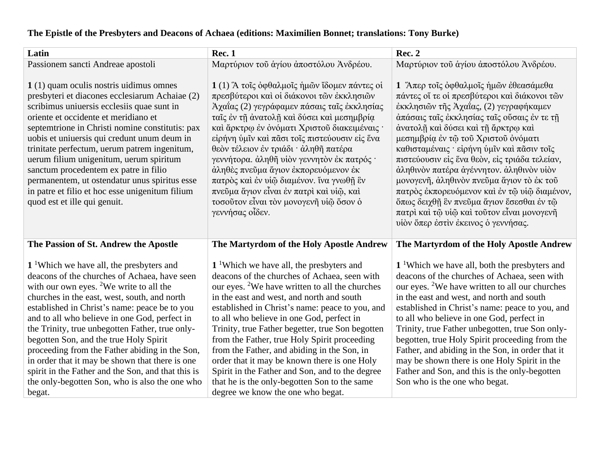## **The Epistle of the Presbyters and Deacons of Achaea (editions: Maximilien Bonnet; translations: Tony Burke)**

| Latin                                                                                                                                                                                                                                                                                                                                                                                                                                                                                                                                                                                                                      | <b>Rec. 1</b>                                                                                                                                                                                                                                                                                                                                                                                                                                                                                                                                                                                                                                                | Rec. 2                                                                                                                                                                                                                                                                                                                                                                                                                                                                                                                                                                                                                                 |
|----------------------------------------------------------------------------------------------------------------------------------------------------------------------------------------------------------------------------------------------------------------------------------------------------------------------------------------------------------------------------------------------------------------------------------------------------------------------------------------------------------------------------------------------------------------------------------------------------------------------------|--------------------------------------------------------------------------------------------------------------------------------------------------------------------------------------------------------------------------------------------------------------------------------------------------------------------------------------------------------------------------------------------------------------------------------------------------------------------------------------------------------------------------------------------------------------------------------------------------------------------------------------------------------------|----------------------------------------------------------------------------------------------------------------------------------------------------------------------------------------------------------------------------------------------------------------------------------------------------------------------------------------------------------------------------------------------------------------------------------------------------------------------------------------------------------------------------------------------------------------------------------------------------------------------------------------|
| Passionem sancti Andreae apostoli                                                                                                                                                                                                                                                                                                                                                                                                                                                                                                                                                                                          | Μαρτύριον τού άγίου άποστόλου Ανδρέου.                                                                                                                                                                                                                                                                                                                                                                                                                                                                                                                                                                                                                       | Μαρτύριον του άγίου άποστόλου Ανδρέου.                                                                                                                                                                                                                                                                                                                                                                                                                                                                                                                                                                                                 |
| 1 (1) quam oculis nostris uidimus omnes<br>presbyteri et diacones ecclesiarum Achaiae (2)<br>scribimus uniuersis ecclesiis quae sunt in<br>oriente et occidente et meridiano et<br>septemtrione in Christi nomine constitutis: pax<br>uobis et uniuersis qui credunt unum deum in<br>trinitate perfectum, uerum patrem ingenitum,<br>uerum filium unigenitum, uerum spiritum<br>sanctum procedentem ex patre in filio<br>permanentem, ut ostendatur unus spiritus esse<br>in patre et filio et hoc esse unigenitum filium<br>quod est et ille qui genuit.                                                                  | 1 (1) Α τοις όφθαλμοις ήμων ίδομεν πάντες οι<br>πρεσβύτεροι καί οι διάκονοι των έκκλησιών<br>Άχαΐας (2) γεγράφαμεν πάσαις ταῖς ἐκκλησίας<br>ταις έν τη άνατολη και δύσει και μεσημβρία<br>καὶ ἄρκτρω ἐν ὀνόματι Χριστοῦ διακειμέναις ·<br>είρήνη ύμίν και πάσι τοίς πιστεύουσιν είς ένα<br>θεόν τέλειον έν τριάδι · άληθη πατέρα<br>γεννήτορα. άληθη υίον γεννητον έκ πατρός ·<br>άληθές πνεύμα άγιον έκπορευόμενον έκ<br>πατρός και έν υίφ διαμένον. ίνα γνωθη έν<br>πνεῦμα ἄγιον εἶναι ἐν πατρὶ καὶ υἱῷ, καὶ<br>τοσούτον είναι τον μονογενή υίω όσον ο<br>γεννήσας οἶδεν.                                                                                  | 1 Άπερ τοις όφθαλμοις ήμων έθεασάμεθα<br>πάντες οι τε οι πρεσβύτεροι και διάκονοι των<br>έκκλησιών της Άχαΐας, (2) γεγραφήκαμεν<br>άπάσαις ταῖς ἐκκλησίας ταῖς οὔσαις ἐν τε τῆ<br>άνατολῆ καὶ δύσει καὶ τῆ ἄρκτρω καὶ<br>μεσημβρία έν τῷ τοῦ Χριστοῦ ὀνόματι<br>καθισταμέναις · είρήνη ύμίν και πάσιν τοίς<br>πιστεύουσιν είς ένα θεόν, είς τριάδα τελείαν,<br>άληθινόν πατέρα άγέννητον. άληθινόν υίον<br>μονογενῆ, ἀληθινὸν πνεῦμα ἄγιον τὸ ἐκ τοῦ<br>πατρός έκπορευόμενον και έν τω υίω διαμένον,<br>όπως δειχθῆ ἓν πνεῦμα ἄγιον ἔσεσθαι ἐν τῷ<br>πατρί και τῷ υἱῷ και τοῦτον εἶναι μονογενῆ<br>υίον όπερ έστιν έκεινος ο γεννήσας. |
| The Passion of St. Andrew the Apostle                                                                                                                                                                                                                                                                                                                                                                                                                                                                                                                                                                                      | The Martyrdom of the Holy Apostle Andrew                                                                                                                                                                                                                                                                                                                                                                                                                                                                                                                                                                                                                     | The Martyrdom of the Holy Apostle Andrew                                                                                                                                                                                                                                                                                                                                                                                                                                                                                                                                                                                               |
| $1$ <sup>1</sup> Which we have all, the presbyters and<br>deacons of the churches of Achaea, have seen<br>with our own eyes. $2$ We write to all the<br>churches in the east, west, south, and north<br>established in Christ's name: peace be to you<br>and to all who believe in one God, perfect in<br>the Trinity, true unbegotten Father, true only-<br>begotten Son, and the true Holy Spirit<br>proceeding from the Father abiding in the Son,<br>in order that it may be shown that there is one<br>spirit in the Father and the Son, and that this is<br>the only-begotten Son, who is also the one who<br>begat. | $1$ <sup>1</sup> Which we have all, the presbyters and<br>deacons of the churches of Achaea, seen with<br>our eyes. <sup>2</sup> We have written to all the churches<br>in the east and west, and north and south<br>established in Christ's name: peace to you, and<br>to all who believe in one God, perfect in<br>Trinity, true Father begetter, true Son begotten<br>from the Father, true Holy Spirit proceeding<br>from the Father, and abiding in the Son, in<br>order that it may be known there is one Holy<br>Spirit in the Father and Son, and to the degree<br>that he is the only-begotten Son to the same<br>degree we know the one who begat. | $1$ Which we have all, both the presbyters and<br>deacons of the churches of Achaea, seen with<br>our eyes. <sup>2</sup> We have written to all our churches<br>in the east and west, and north and south<br>established in Christ's name: peace to you, and<br>to all who believe in one God, perfect in<br>Trinity, true Father unbegotten, true Son only-<br>begotten, true Holy Spirit proceeding from the<br>Father, and abiding in the Son, in order that it<br>may be shown there is one Holy Spirit in the<br>Father and Son, and this is the only-begotten<br>Son who is the one who begat.                                   |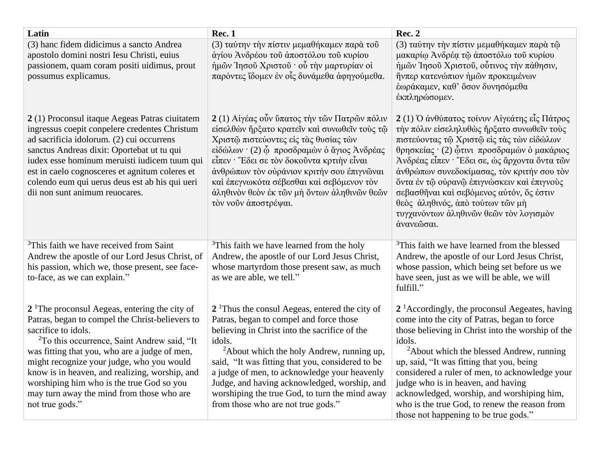| Latin                                                                                                                                                                                                                                                                                                                                                                                                                                             | Rec. 1                                                                                                                                                                                                                                                                                                                                                                                                                                                      | <b>Rec. 2</b>                                                                                                                                                                                                                                                                                                                                                                                                                                                                                        |
|---------------------------------------------------------------------------------------------------------------------------------------------------------------------------------------------------------------------------------------------------------------------------------------------------------------------------------------------------------------------------------------------------------------------------------------------------|-------------------------------------------------------------------------------------------------------------------------------------------------------------------------------------------------------------------------------------------------------------------------------------------------------------------------------------------------------------------------------------------------------------------------------------------------------------|------------------------------------------------------------------------------------------------------------------------------------------------------------------------------------------------------------------------------------------------------------------------------------------------------------------------------------------------------------------------------------------------------------------------------------------------------------------------------------------------------|
| (3) hanc fidem didicimus a sancto Andrea<br>apostolo domini nostri Iesu Christi, euius<br>passionem, quam coram positi uidimus, prout<br>possumus explicamus.                                                                                                                                                                                                                                                                                     | (3) ταύτην την πίστιν μεμαθήκαμεν παρά τού<br>άγίου Ανδρέου τοῦ ἀποστόλου τοῦ κυρίου<br>ήμῶν Ίησοῦ Χριστοῦ · οὗ τὴν μαρτυρίαν οἱ<br>παρόντες ίδομεν έν οις δυνάμεθα άφηγούμεθα.                                                                                                                                                                                                                                                                             | (3) ταύτην την πίστιν μεμαθήκαμεν παρά τῷ<br>μακαρίω Άνδρέα τῷ ἀποστόλω τοῦ κυρίου<br>ήμῶν Ἰησοῦ Χριστοῦ, οὗτινος τὴν πάθησιν,<br>ἥνπερ κατενώπιον ἡμῶν προκειμένων<br>έωράκαμεν, καθ' ὅσον δυνησόμεθα<br>έκπληρώσομεν.                                                                                                                                                                                                                                                                              |
| 2(1) Proconsul itaque Aegeas Patras ciuitatem<br>ingressus coepit conpelere credentes Christum<br>ad sacrificia idolorum. (2) cui occurrens<br>sanctus Andreas dixit: Oportebat ut tu qui<br>iudex esse hominum meruisti iudicem tuum qui<br>est in caelo cognosceres et agnitum coleres et<br>colendo eum qui uerus deus est ab his qui ueri<br>dii non sunt animum reuocares.                                                                   | 2 (1) Αίγέας οὖν ὕπατος την τῶν Πατρῶν πόλιν<br>είσελθών ήρξατο κρατεΐν και συνωθεΐν τους τώ<br>Χριστώ πιστεύοντες είς τάς θυσίας τών<br>είδώλων (2) φ προσδραμών ο άγιος Ανδρέας<br>εἶπεν · "Εδει σε τὸν δοκοῦντα κρτιὴν εἶναι<br>άνθρώπων τον ουράνιον κριτήν σου έπιγνώναι<br>και έπεγνωκότα σέβεσθαι και σεβόμενον τον<br>άληθινόν θεόν έκ των μή ὄντων άληθινων θεων<br>τον νούν άποστρέψαι.                                                           | 2 (1) Ο άνθύπατος τοίνυν Αίγεάτης είς Πάτρος<br>τὴν πόλιν εἰσεληλυθὼς ἤρξατο συνωθεῖν τοὺς<br>πιστεύοντας τω Χριστώ είς τάς των είδώλων<br>θρησκείας · (2) ὧτινι προσδραμὼν ὁ μακάριος<br>Άνδρέας εἶπεν · "Εδει σε, ὡς ἄρχοντα ὄντα τῶν<br>άνθρώπων συνεδοκίμασας, τὸν κριτήν σου τὸν<br>ὄντα ἐν τῷ οὐρανῷ ἐπιγνώσκειν καὶ ἐπιγνοὺς<br>σεβασθῆναι καὶ σεβόμενος αὐτόν, ὅς ἐστιν<br>θεὸς ἀληθινός, ἀπὸ τούτων τῶν μὴ<br>τυγχανόντων άληθινων θεών τον λογισμον<br>άνανεώσαι.                          |
| <sup>3</sup> This faith we have received from Saint<br>Andrew the apostle of our Lord Jesus Christ, of<br>his passion, which we, those present, see face-<br>to-face, as we can explain."                                                                                                                                                                                                                                                         | <sup>3</sup> This faith we have learned from the holy<br>Andrew, the apostle of our Lord Jesus Christ,<br>whose martyrdom those present saw, as much<br>as we are able, we tell."                                                                                                                                                                                                                                                                           | <sup>3</sup> This faith we have learned from the blessed<br>Andrew, the apostle of our Lord Jesus Christ,<br>whose passion, which being set before us we<br>have seen, just as we will be able, we will<br>fulfill."                                                                                                                                                                                                                                                                                 |
| $21$ The proconsul Aegeas, entering the city of<br>Patras, began to compel the Christ-believers to<br>sacrifice to idols.<br><sup>2</sup> To this occurrence, Saint Andrew said, "It<br>was fitting that you, who are a judge of men,<br>might recognize your judge, who you would<br>know is in heaven, and realizing, worship, and<br>worshiping him who is the true God so you<br>may turn away the mind from those who are<br>not true gods." | $21$ Thus the consul Aegeas, entered the city of<br>Patras, began to compel and force those<br>believing in Christ into the sacrifice of the<br>idols.<br><sup>2</sup> About which the holy Andrew, running up,<br>said, "It was fitting that you, considered to be<br>a judge of men, to acknowledge your heavenly<br>Judge, and having acknowledged, worship, and<br>worshiping the true God, to turn the mind away<br>from those who are not true gods." | $21$ Accordingly, the proconsul Aegeates, having<br>come into the city of Patras, began to force<br>those believing in Christ into the worship of the<br>idols.<br><sup>2</sup> About which the blessed Andrew, running<br>up, said, "It was fitting that you, being<br>considered a ruler of men, to acknowledge your<br>judge who is in heaven, and having<br>acknowledged, worship, and worshiping him,<br>who is the true God, to renew the reason from<br>those not happening to be true gods." |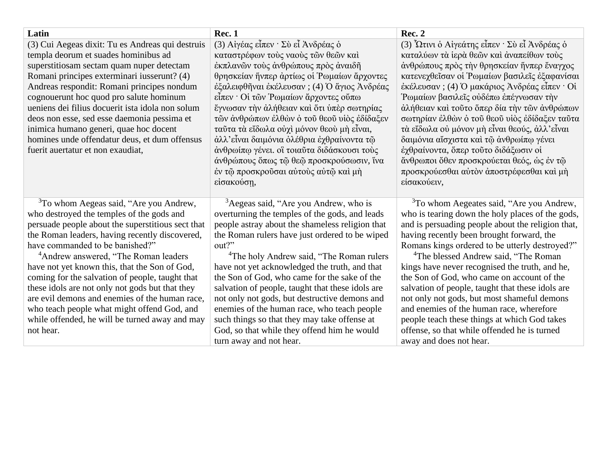| Latin                                                                                   | Rec.1                                                                                       | Rec. 2                                                                                   |
|-----------------------------------------------------------------------------------------|---------------------------------------------------------------------------------------------|------------------------------------------------------------------------------------------|
| (3) Cui Aegeas dixit: Tu es Andreas qui destruis                                        | (3) Αίγέας είπεν · Σύ εί Ανδρέας ό                                                          | (3) Ωτινι ο Αίγεάτης είπεν · Σύ εί Ανδρέας ο                                             |
| templa deorum et suades hominibus ad                                                    | καταστρέφων τους ναους των θεών και                                                         | καταλύων τὰ ἱερὰ θεῶν καὶ ἀναπείθων τους                                                 |
| superstitiosam sectam quam nuper detectam                                               | έκπλανῶν τούς άνθρώπους πρὸς ἀναιδῆ                                                         | άνθρώπους πρὸς τὴν θρησκείαν ἥνπερ ἔναγχος                                               |
| Romani principes exterminari iusserunt? (4)                                             | θρησκείαν ήνπερ άρτίως οι Ρωμαίων άρχοντες                                                  | κατενεχθείσαν οι Ρωμαίων βασιλείς εξαφανίσαι                                             |
| Andreas respondit: Romani principes nondum                                              | έξαλειφθήναι έκέλευσαν; (4) Ο άγιος Ανδρέας                                                 | έκέλευσαν; (4) Ο μακάριος Ανδρέας είπεν · Οί                                             |
| cognouerunt hoc quod pro salute hominum                                                 | είπεν · Οί τῶν Ρωμαίων ἄρχοντες ούπω                                                        | Ρωμαίων βασιλεῖς οὐδέπω ἐπέγνωσαν τὴν                                                    |
| ueniens dei filius docuerit ista idola non solum                                        | έγνωσαν την άλήθειαν και ότι υπερ σωτηρίας                                                  | άλήθειαν και τούτο όπερ δία την των άνθρώπων                                             |
| deos non esse, sed esse daemonia pessima et                                             | τῶν ἀνθρώπων ἐλθών ὀ τοῦ θεοῦ υἱὸς ἐδίδαξεν                                                 | σωτηρίαν έλθών ό του θεου υίος εδίδαξεν ταυτα                                            |
| inimica humano generi, quae hoc docent<br>homines unde offendatur deus, et dum offensus | ταῦτα τὰ εἴδωλα οὐχὶ μόνον θεού μὴ εἶναι,<br>άλλ' είναι δαιμόνια όλέθρια έχθραίνοντα τω     | τὰ εἴδωλα οὐ μόνον μὴ εἶναι θεούς, ἀλλ'εἶναι<br>δαιμόνια αίσχιστα και τω ανθρωίπω γένει  |
| fuerit auertatur et non exaudiat,                                                       | άνθρωίπω γένει. οι τοιαύτα διδάσκουσι τους                                                  | έχθραίνοντα, όπερ τούτο διδάξωσιν οί                                                     |
|                                                                                         | άνθρώπους όπως τῷ θεῷ προσκρούσωσιν, ἵνα                                                    | άνθρωποι όθεν προσκρούεται θεός, ως έν τῷ                                                |
|                                                                                         | έν τῷ προσκροῦσαι αὐτοὺς αὐτῷ καὶ μὴ                                                        | προσκρούεσθαι αύτον άποστρέφεσθαι καί μή                                                 |
|                                                                                         | είσακούση,                                                                                  | είσακούειν,                                                                              |
|                                                                                         |                                                                                             |                                                                                          |
| <sup>3</sup> To whom Aegeas said, "Are you Andrew,                                      | <sup>3</sup> Aegeas said, "Are you Andrew, who is                                           | <sup>3</sup> To whom Aegeates said, "Are you Andrew,                                     |
| who destroyed the temples of the gods and                                               | overturning the temples of the gods, and leads                                              | who is tearing down the holy places of the gods,                                         |
| persuade people about the superstitious sect that                                       | people astray about the shameless religion that                                             | and is persuading people about the religion that,                                        |
| the Roman leaders, having recently discovered,                                          | the Roman rulers have just ordered to be wiped                                              | having recently been brought forward, the                                                |
| have commanded to be banished?"                                                         | out?"                                                                                       | Romans kings ordered to be utterly destroyed?"                                           |
| <sup>4</sup> Andrew answered, "The Roman leaders"                                       | <sup>4</sup> The holy Andrew said, "The Roman rulers"                                       | <sup>4</sup> The blessed Andrew said, "The Roman"                                        |
| have not yet known this, that the Son of God,                                           | have not yet acknowledged the truth, and that                                               | kings have never recognised the truth, and he,                                           |
| coming for the salvation of people, taught that                                         | the Son of God, who came for the sake of the                                                | the Son of God, who came on account of the                                               |
| these idols are not only not gods but that they                                         | salvation of people, taught that these idols are                                            | salvation of people, taught that these idols are                                         |
| are evil demons and enemies of the human race,                                          | not only not gods, but destructive demons and                                               | not only not gods, but most shameful demons                                              |
| who teach people what might offend God, and                                             | enemies of the human race, who teach people                                                 | and enemies of the human race, wherefore<br>people teach these things at which God takes |
| while offended, he will be turned away and may<br>not hear.                             | such things so that they may take offense at<br>God, so that while they offend him he would | offense, so that while offended he is turned                                             |
|                                                                                         | turn away and not hear.                                                                     | away and does not hear.                                                                  |
|                                                                                         |                                                                                             |                                                                                          |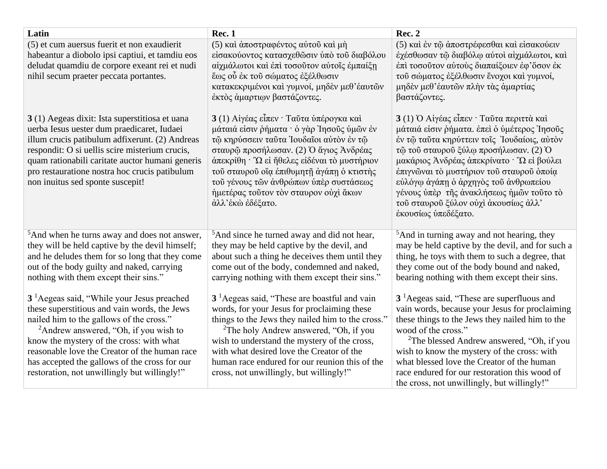| Latin                                                                                                                                                                                                                                                                                                                                                                                                 | <b>Rec. 1</b>                                                                                                                                                                                                                                                                                                                                                                                                | <b>Rec. 2</b>                                                                                                                                                                                                                                                                                                                                                                                                                  |
|-------------------------------------------------------------------------------------------------------------------------------------------------------------------------------------------------------------------------------------------------------------------------------------------------------------------------------------------------------------------------------------------------------|--------------------------------------------------------------------------------------------------------------------------------------------------------------------------------------------------------------------------------------------------------------------------------------------------------------------------------------------------------------------------------------------------------------|--------------------------------------------------------------------------------------------------------------------------------------------------------------------------------------------------------------------------------------------------------------------------------------------------------------------------------------------------------------------------------------------------------------------------------|
| (5) et cum auersus fuerit et non exaudierit<br>habeantur a diobolo ipsi captiui, et tamdiu eos<br>deludat quamdiu de corpore exeant rei et nudi<br>nihil secum praeter peccata portantes.                                                                                                                                                                                                             | (5) και άποστραφέντος αύτου και μή<br>είσακούοντος κατασχεθώσιν ύπό του διαβόλου<br>αίχμάλωτοι και έπι τοσούτον αύτοις έμπαίξη<br>έως ού έκ του σώματος έξέλθωσιν<br>κατακεκριμένοι και γυμνοί, μηδεν μεθ' έαυτών<br>έκτος άμαρτιων βαστάζοντες.                                                                                                                                                             | (5) και έν τῷ ἀποστρέφεσθαι και εισακούειν<br>έχέσθωσαν τῷ διαβόλφ αύτοι αίχμάλωτοι, και<br>έπι τοσούτον αύτους διαπαίξοιεν έφ' όσον έκ<br>τού σώματος έξέλθωσιν ένοχοι και γυμνοί,<br>μηδεν μεθ' έαυτων πλήν τας αμαρτίας<br>βαστάζοντες.                                                                                                                                                                                     |
| 3 (1) Aegeas dixit: Ista superstitiosa et uana<br>uerba Iesus uester dum praedicaret, Iudaei<br>illum crucis patibulum adfixerunt. (2) Andreas<br>respondit: O si uellis scire misterium crucis,<br>quam rationabili caritate auctor humani generis<br>pro restauratione nostra hoc crucis patibulum<br>non inuitus sed sponte suscepit!                                                              | 3 (1) Αίγέας είπεν · Ταύτα ύπέρογκα καί<br>μάταιά είσιν ρήματα · ό γάρ Τησούς ύμων έν<br>τῷ κηρύσσειν ταῦτα Ιουδαΐοι αὐτὸν ἐν τῷ<br>σταυρῶ προσήλωσαν. (2) Ο άγιος Ανδρέας<br>άπεκρίθη · "Ω εί ήθελες είδέναι τὸ μυστήριον<br>τοῦ σταυροῦ οἴα ἐπιθυμητῆ ἀγάπη ὁ κτιστής<br>τοῦ γένους τῶν ἀνθρώπων υπέρ συστάσεως<br>ήμετέρας τούτον τον σταυρον ούχι άκων<br>άλλ' έκώ εδέξατο.                              | 3 (1) Ο Αίγέας είπεν · Ταύτα περιττά καί<br>μάταιά είσιν ρήματα. έπει ο υμέτερος Ίησους<br>έν τῷ ταῦτα κηρύττειν τοῖς Ἰουδαίοις, αὐτὸν<br>τῷ τοῦ σταυροῦ ξύλφ προσήλωσαν. (2) Ο<br>μακάριος Ανδρέας άπεκρίνατο · "Ω εί βούλει<br>έπιγνῶναι τὸ μυστήριον τοῦ σταυροῦ ὁποία<br>εύλόγω άγάπη ο άρχηγος του άνθρωπείου<br>γένους ύπερ της άνακλήσεως ήμων τούτο το<br>τού σταυρού ξύλον ούχι άκουσίως άλλ'<br>έκουσίως ύπεδέξατο.  |
| <sup>5</sup> And when he turns away and does not answer,<br>they will be held captive by the devil himself;<br>and he deludes them for so long that they come<br>out of the body guilty and naked, carrying<br>nothing with them except their sins."                                                                                                                                                  | <sup>5</sup> And since he turned away and did not hear,<br>they may be held captive by the devil, and<br>about such a thing he deceives them until they<br>come out of the body, condemned and naked,<br>carrying nothing with them except their sins."                                                                                                                                                      | <sup>5</sup> And in turning away and not hearing, they<br>may be held captive by the devil, and for such a<br>thing, he toys with them to such a degree, that<br>they come out of the body bound and naked,<br>bearing nothing with them except their sins.                                                                                                                                                                    |
| 3 <sup>1</sup> Aegeas said, "While your Jesus preached<br>these superstitious and vain words, the Jews<br>nailed him to the gallows of the cross."<br><sup>2</sup> Andrew answered, "Oh, if you wish to<br>know the mystery of the cross: with what<br>reasonable love the Creator of the human race<br>has accepted the gallows of the cross for our<br>restoration, not unwillingly but willingly!" | 3 <sup>1</sup> Aegeas said, "These are boastful and vain<br>words, for your Jesus for proclaiming these<br>things to the Jews they nailed him to the cross."<br><sup>2</sup> The holy Andrew answered, "Oh, if you<br>wish to understand the mystery of the cross,<br>with what desired love the Creator of the<br>human race endured for our reunion this of the<br>cross, not unwillingly, but willingly!" | $31$ Aegeas said, "These are superfluous and<br>vain words, because your Jesus for proclaiming<br>these things to the Jews they nailed him to the<br>wood of the cross."<br><sup>2</sup> The blessed Andrew answered, "Oh, if you<br>wish to know the mystery of the cross: with<br>what blessed love the Creator of the human<br>race endured for our restoration this wood of<br>the cross, not unwillingly, but willingly!" |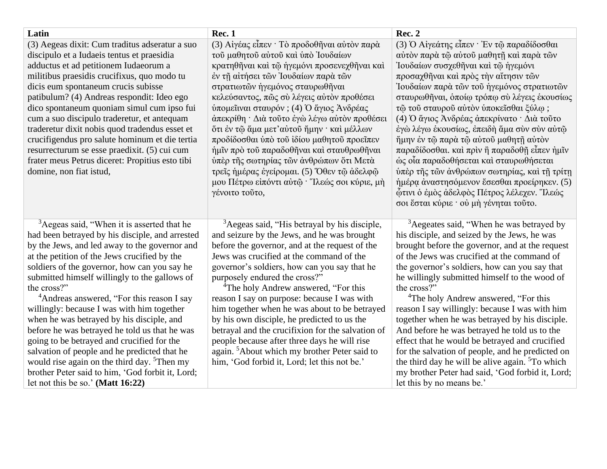| Latin                                                                                                                                                                                                                                                                                                                                                                                                                                                                                                                                                                                                                                                                                                                                                                             | <b>Rec. 1</b>                                                                                                                                                                                                                                                                                                                                                                                                                                                                                                                                                                                                                                                                                              | <b>Rec. 2</b>                                                                                                                                                                                                                                                                                                                                                                                                                                                                                                                                                                                                                                                                                                                                                                         |
|-----------------------------------------------------------------------------------------------------------------------------------------------------------------------------------------------------------------------------------------------------------------------------------------------------------------------------------------------------------------------------------------------------------------------------------------------------------------------------------------------------------------------------------------------------------------------------------------------------------------------------------------------------------------------------------------------------------------------------------------------------------------------------------|------------------------------------------------------------------------------------------------------------------------------------------------------------------------------------------------------------------------------------------------------------------------------------------------------------------------------------------------------------------------------------------------------------------------------------------------------------------------------------------------------------------------------------------------------------------------------------------------------------------------------------------------------------------------------------------------------------|---------------------------------------------------------------------------------------------------------------------------------------------------------------------------------------------------------------------------------------------------------------------------------------------------------------------------------------------------------------------------------------------------------------------------------------------------------------------------------------------------------------------------------------------------------------------------------------------------------------------------------------------------------------------------------------------------------------------------------------------------------------------------------------|
| (3) Aegeas dixit: Cum traditus adseratur a suo<br>discipulo et a Iudaeis tentus et praesidia<br>adductus et ad petitionem Iudaeorum a<br>militibus praesidis crucifixus, quo modo tu<br>dicis eum spontaneum crucis subisse                                                                                                                                                                                                                                                                                                                                                                                                                                                                                                                                                       | (3) Αίγέας είπεν · Το προδοθήναι αύτον παρά<br>τού μαθητού αύτου και ύπο Ιουδαίων<br>κρατηθηναι και τω ηγεμόνι προσενεχθηναι και<br>έν τη αίτήσει των Ιουδαίων παρά των<br>στρατιωτών ήγεμόνος σταυρωθήναι                                                                                                                                                                                                                                                                                                                                                                                                                                                                                                 | (3) Ο Αίγεάτης είπεν · Έν τώ παραδίδοσθαι<br>αύτον παρά τῷ αύτοῦ μαθητῆ καί παρά τῶν<br>Ιουδαίων συσχεθῆναι καὶ τῷ ἡγεμόνι<br>προσαχθῆναι και πρός την αίτησιν τῶν<br>Ίουδαίων παρά τῶν τοῦ ἡγεμόνος στρατιωτῶν                                                                                                                                                                                                                                                                                                                                                                                                                                                                                                                                                                       |
| patibulum? (4) Andreas respondit: Ideo ego<br>dico spontaneum quoniam simul cum ipso fui<br>cum a suo discipulo traderetur, et antequam<br>traderetur dixit nobis quod tradendus esset et<br>crucifigendus pro salute hominum et die tertia<br>resurrecturum se esse praedixit. (5) cui cum<br>frater meus Petrus diceret: Propitius esto tibi<br>domine, non fiat istud,                                                                                                                                                                                                                                                                                                                                                                                                         | κελεύσαντος, πώς σύ λέγεις αύτον προθέσει<br>ύπομεῖιναι σταυρόν; (4) Ο ἅγιος Άνδρέας<br>άπεκρίθη · Διά τούτο έγώ λέγω αύτον προθέσει<br>ότι έν τῷ ἄμα μετ' αύτοῦ ἤμην · καὶ μέλλων<br>προδίδοσθαι ύπό του ιδίου μαθητού προείπεν<br>ήμῖν πρὸ τοῦ παραδοθῆναι καὶ σταυθρωθῆναι<br>ύπερ της σωτηρίας των άνθρώπων ότι Μετά<br>τρείς ημέρας έγείρομαι. (5) Όθεν τω άδελφω<br>μου Πέτρω είπόντι αύτῷ · "Ίλεώς σοι κύριε, μή<br>γένοιτο τούτο,                                                                                                                                                                                                                                                                  | σταυρωθηναι, όποίω τρόπω σύ λέγεις έκουσίως<br>τῷ τοῦ σταυροῦ αὐτὸν ὑποκεῖσθαι ξύλω;<br>(4) Ο άγιος Ανδρέας απεκρίνατο · Διά τούτο<br>έγω λέγω εκουσίως, επειδή άμα σύν σύν αύτω<br>ήμην έν τῷ παρὰ τῷ αὐτοῦ μαθητῆ αὐτὸν<br>παραδίδοσθαι. και πριν ή παραδοθη είπεν ημίν<br>ώς οία παραδοθήσεται και σταυρωθήσεται<br>ύπερ της των άνθρώπων σωτηρίας, και τη τρίτη<br>ημέρα αναστησόμενον έσεσθαι προείρηκεν. (5)<br>ώτινι ο έμος άδελφος Πέτρος λέλεχεν. Ίλεώς<br>σοι έσται κύριε · ού μή γένηται τούτο.                                                                                                                                                                                                                                                                            |
| <sup>3</sup> Aegeas said, "When it is asserted that he<br>had been betrayed by his disciple, and arrested<br>by the Jews, and led away to the governor and<br>at the petition of the Jews crucified by the<br>soldiers of the governor, how can you say he<br>submitted himself willingly to the gallows of<br>the cross?"<br><sup>4</sup> Andreas answered, "For this reason I say<br>willingly: because I was with him together<br>when he was betrayed by his disciple, and<br>before he was betrayed he told us that he was<br>going to be betrayed and crucified for the<br>salvation of people and he predicted that he<br>would rise again on the third day. <sup>5</sup> Then my<br>brother Peter said to him, 'God forbit it, Lord;<br>let not this be so.' (Matt 16:22) | <sup>3</sup> Aegeas said, "His betrayal by his disciple,<br>and seizure by the Jews, and he was brought<br>before the governor, and at the request of the<br>Jews was crucified at the command of the<br>governor's soldiers, how can you say that he<br>purposely endured the cross?"<br><sup>4</sup> The holy Andrew answered, "For this<br>reason I say on purpose: because I was with<br>him together when he was about to be betrayed<br>by his own disciple, he predicted to us the<br>betrayal and the crucifixion for the salvation of<br>people because after three days he will rise<br>again. <sup>5</sup> About which my brother Peter said to<br>him, 'God forbid it, Lord; let this not be.' | <sup>3</sup> Aegeates said, "When he was betrayed by<br>his disciple, and seized by the Jews, he was<br>brought before the governor, and at the request<br>of the Jews was crucified at the command of<br>the governor's soldiers, how can you say that<br>he willingly submitted himself to the wood of<br>the cross?"<br><sup>4</sup> The holy Andrew answered, "For this<br>reason I say willingly: because I was with him<br>together when he was betrayed by his disciple.<br>And before he was betrayed he told us to the<br>effect that he would be betrayed and crucified<br>for the salvation of people, and he predicted on<br>the third day he will be alive again. <sup>5</sup> To which<br>my brother Peter had said, 'God forbid it, Lord;<br>let this by no means be.' |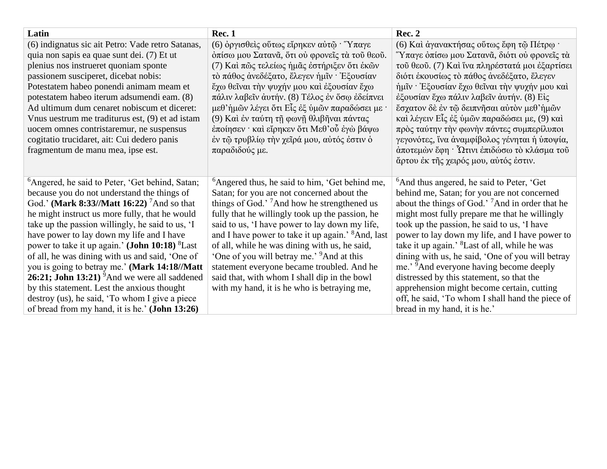| Latin                                                       | <b>Rec. 1</b>                                                 | <b>Rec. 2</b>                                               |
|-------------------------------------------------------------|---------------------------------------------------------------|-------------------------------------------------------------|
| (6) indignatus sic ait Petro: Vade retro Satanas,           | (6) όργισθείς ούτως είρηκεν αύτω · "Υπαγε                     | (6) Και άγανακτήσας ούτως έφη τω Πέτρω ·                    |
| quia non sapis ea quae sunt dei. (7) Et ut                  | όπίσω μου Σατανᾶ, ὅτι οὐ φρονεῖς τὰ τοῦ θεοῦ.                 | Ύπαγε όπίσω μου Σατανᾶ, διότι οὐ φρονεῖς τὰ                 |
| plenius nos instrueret quoniam sponte                       | (7) Και πώς τελείως ημάς εστήριξεν ότι εκών                   | τού θεού. (7) Και ίνα πληρέστατά μοι έξαρτίσει              |
| passionem susciperet, dicebat nobis:                        | τὸ πάθος ἀνεδέξατο, ἔλεγεν ἡμῖν · Ἐξουσίαν                    | διότι έκουσίως το πάθος άνεδέξατο, έλεγεν                   |
| Potestatem habeo ponendi animam meam et                     | έχω θεΐναι την ψυχήν μου και εξουσίαν έχω                     | ήμιν Έξουσίαν έχω θείναι την ψυχήν μου καί                  |
| potestatem habeo iterum adsumendi eam. (8)                  | πάλιν λαβεΐν άυτήν. (8) Τέλος έν όσω έδείπνει                 | έξουσίαν έχω πάλιν λαβεῖν ἀυτήν. (8) Εἰς                    |
| Ad ultimum dum cenaret nobiscum et diceret:                 | μεθ' ήμῶν λέγει ὄτι Εἶς ἐξ υμῶν παραδώσει με                  | έσχατον δε έν τῷ δειπνῆσαι αὐτον μεθ'ήμῶν                   |
| Vnus uestrum me traditurus est, (9) et ad istam             | (9) Και έν ταύτη τη φωνη θλιβηναι πάντας                      | καί λέγειν Εἶς ἐξ ὑμῶν παραδώσει με, (9) καὶ                |
| uocem omnes contristaremur, ne suspensus                    | έποίησεν · καὶ εἴρηκεν ὅτι Μεθ'οὖ ἐγὼ βάψω                    | πρός ταύτην την φωνήν πάντες συμπερίλυποι                   |
| cogitatio trucidaret, ait: Cui dedero panis                 | έν τῷ τρυβλίφ τὴν χεῖρά μου, αὐτός έστιν ὁ                    | γεγονότες, ίνα αναμφίβολος γένηται ή υποψία,                |
| fragmentum de manu mea, ipse est.                           | παραδιδούς με.                                                | άποτεμών έφη · Ότινι έπιδώσω το κλάσμα τού                  |
|                                                             |                                                               | άρτου έκ της χειρός μου, αύτός έστιν.                       |
|                                                             |                                                               |                                                             |
| <sup>6</sup> Angered, he said to Peter, 'Get behind, Satan; | <sup>6</sup> Angered thus, he said to him, 'Get behind me,    | <sup>6</sup> And thus angered, he said to Peter, 'Get       |
| because you do not understand the things of                 | Satan; for you are not concerned about the                    | behind me, Satan; for you are not concerned                 |
| God.' (Mark 8:33//Matt 16:22) <sup>7</sup> And so that      | things of God.' <sup>7</sup> And how he strengthened us       | about the things of God.' <sup>7</sup> And in order that he |
| he might instruct us more fully, that he would              | fully that he willingly took up the passion, he               | might most fully prepare me that he willingly               |
| take up the passion willingly, he said to us, 'I            | said to us, 'I have power to lay down my life,                | took up the passion, he said to us, 'I have                 |
| have power to lay down my life and I have                   | and I have power to take it up again.' <sup>8</sup> And, last | power to lay down my life, and I have power to              |
| power to take it up again.' (John 10:18) <sup>8</sup> Last  | of all, while he was dining with us, he said,                 | take it up again.' <sup>8</sup> Last of all, while he was   |
| of all, he was dining with us and said, 'One of             | 'One of you will betray me.' <sup>9</sup> And at this         | dining with us, he said, 'One of you will betray            |
| you is going to betray me.' (Mark 14:18//Matt               | statement everyone became troubled. And he                    | me.' <sup>9</sup> And everyone having become deeply         |
| $26:21$ ; John 13:21) <sup>9</sup> And we were all saddened | said that, with whom I shall dip in the bowl                  | distressed by this statement, so that the                   |
| by this statement. Lest the anxious thought                 | with my hand, it is he who is betraying me,                   | apprehension might become certain, cutting                  |
| destroy (us), he said, 'To whom I give a piece              |                                                               | off, he said, 'To whom I shall hand the piece of            |
| of bread from my hand, it is he.' ( <b>John 13:26</b> )     |                                                               | bread in my hand, it is he.'                                |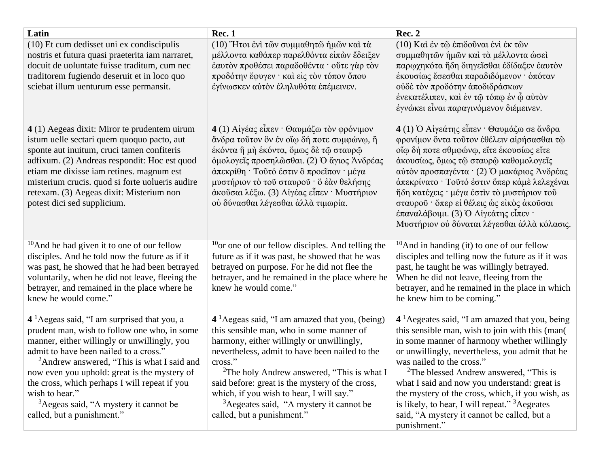| Latin                                                                                           | <b>Rec. 1</b>                                                                                   | <b>Rec. 2</b>                                                                                                 |
|-------------------------------------------------------------------------------------------------|-------------------------------------------------------------------------------------------------|---------------------------------------------------------------------------------------------------------------|
| (10) Et cum dedisset uni ex condiscipulis                                                       | (10) Ήτοι ένι των συμμαθητώ ήμων και τα                                                         | (10) Και έν τῷ έπιδούναι ένι έκ τῶν                                                                           |
| nostris et futura quasi praeterita iam narraret,                                                | μέλλοντα καθάπερ παρελθόντα είπων έδειξεν                                                       | συμμαθητών ήμων και τα μέλλοντα ωσει                                                                          |
| docuit de uoluntate fuisse traditum, cum nec<br>traditorem fugiendo deseruit et in loco quo     | έαυτον προθέσει παραδοθέντα · ούτε γάρ τον<br>προδότην έφυγεν · και είς τον τόπον όπου          | παρωχηκότα ήδη διηγείσθαι εδίδαξεν εαυτον<br>εκουσίως έσεσθαι παραδιδόμενον · οπόταν                          |
| sciebat illum uenturum esse permansit.                                                          | έγίνωσκεν αύτον έληλυθότα έπέμεινεν.                                                            | ούδε τον προδότην αποδιδράσκων                                                                                |
|                                                                                                 |                                                                                                 | ένεκατέλιπεν, και έν τω τόπω έν ώ αύτον                                                                       |
|                                                                                                 |                                                                                                 | έγνώκει είναι παραγινόμενον διέμεινεν.                                                                        |
| 4 (1) Aegeas dixit: Miror te prudentem uirum                                                    | 4 (1) Αίγέας είπεν · Θαυμάζω τον φρόνιμον                                                       | 4 (1) Ο Αίγεάτης είπεν · Θαυμάζω σε άνδρα                                                                     |
| istum uelle sectari quem quoquo pacto, aut                                                      | άνδρα τοῦτον ὃν ἐν οἴφ δή ποτε συμφώνφ, ἢ                                                       | φρονίμον όντα τούτον εθέλειν αιρήσασθαι τω                                                                    |
| sponte aut inuitum, cruci tamen confiteris                                                      | εκόντα ή μη εκόντα, όμως δε τω σταυρώ                                                           | οΐφ δή ποτε σθμφώνφ, εΐτε εκουσίως εΐτε                                                                       |
| adfixum. (2) Andreas respondit: Hoc est quod                                                    | <i>δμολογείς προσηλ</i> ώσθαι. (2) Ο άγιος Ανδρέας                                              | άκουσίως, όμως τῷ σταυρῷ καθομολογεῖς                                                                         |
| etiam me dixisse iam retines. magnum est<br>misterium crucis. quod si forte uolueris audire     | άπεκρίθη · Τοῦτό ἐστιν ὃ προεῖπον · μέγα<br>μυστήριον τὸ τοῦ σταυροῦ · ὃ ἐὰν θελήσης            | αύτον προσπαγέντα · (2) Ο μακάριος Άνδρέας<br>άπεκρίνατο · Τούτό έστιν όπερ κάμε λελεχέναι                    |
| retexam. (3) Aegeas dixit: Misterium non                                                        | άκοῦσαι λέξω. (3) Αἰγέας εἶπεν · Μυστήριον                                                      | ήδη κατέχεις · μέγα έστιν το μυστήριον τού                                                                    |
| potest dici sed supplicium.                                                                     | ού δύνασθαι λέγεσθαι άλλα τιμωρία.                                                              | σταυρού · ὅπερ εί θέλεις ως είκος άκούσαι                                                                     |
|                                                                                                 |                                                                                                 | έπαναλάβοιμι. (3) Ο Αίγεάτης είπεν ·                                                                          |
|                                                                                                 |                                                                                                 | Μυστήριον ού δύναται λέγεσθαι άλλά κόλασις.                                                                   |
| $10$ And he had given it to one of our fellow                                                   | $10$ or one of our fellow disciples. And telling the                                            | $10$ And in handing (it) to one of our fellow                                                                 |
| disciples. And he told now the future as if it                                                  | future as if it was past, he showed that he was                                                 | disciples and telling now the future as if it was                                                             |
| was past, he showed that he had been betrayed                                                   | betrayed on purpose. For he did not flee the                                                    | past, he taught he was willingly betrayed.                                                                    |
| voluntarily, when he did not leave, fleeing the<br>betrayer, and remained in the place where he | betrayer, and he remained in the place where he<br>knew he would come."                         | When he did not leave, fleeing from the<br>betrayer, and he remained in the place in which                    |
| knew he would come."                                                                            |                                                                                                 | he knew him to be coming."                                                                                    |
|                                                                                                 |                                                                                                 |                                                                                                               |
| $41$ Aegeas said, "I am surprised that you, a<br>prudent man, wish to follow one who, in some   | $41$ Aegeas said, "I am amazed that you, (being)<br>this sensible man, who in some manner of    | 4 <sup>1</sup> Aegeates said, "I am amazed that you, being<br>this sensible man, wish to join with this (man) |
| manner, either willingly or unwillingly, you                                                    | harmony, either willingly or unwillingly,                                                       | in some manner of harmony whether willingly                                                                   |
| admit to have been nailed to a cross."                                                          | nevertheless, admit to have been nailed to the                                                  | or unwillingly, nevertheless, you admit that he                                                               |
| <sup>2</sup> Andrew answered, "This is what I said and                                          | cross."                                                                                         | was nailed to the cross."                                                                                     |
| now even you uphold: great is the mystery of                                                    | <sup>2</sup> The holy Andrew answered, "This is what I                                          | <sup>2</sup> The blessed Andrew answered, "This is                                                            |
| the cross, which perhaps I will repeat if you<br>wish to hear."                                 | said before: great is the mystery of the cross,                                                 | what I said and now you understand: great is                                                                  |
| <sup>3</sup> Aegeas said, "A mystery it cannot be                                               | which, if you wish to hear, I will say."<br><sup>3</sup> Aegeates said, "A mystery it cannot be | the mystery of the cross, which, if you wish, as<br>is likely, to hear, I will repeat." <sup>3</sup> Aegeates |
| called, but a punishment."                                                                      | called, but a punishment."                                                                      | said, "A mystery it cannot be called, but a                                                                   |
|                                                                                                 |                                                                                                 | punishment."                                                                                                  |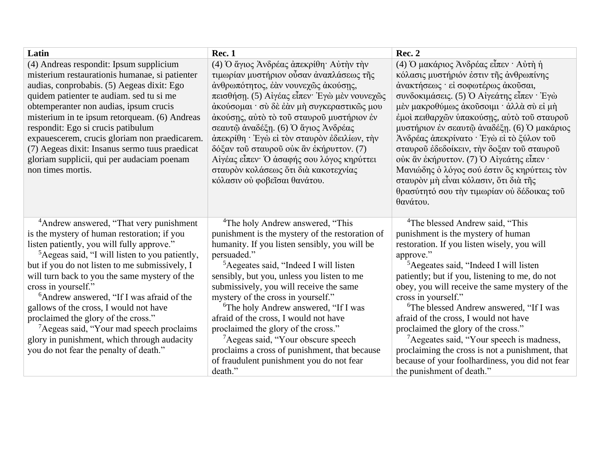| Latin                                                      | <b>Rec. 1</b>                                     | <b>Rec. 2</b>                                       |
|------------------------------------------------------------|---------------------------------------------------|-----------------------------------------------------|
| (4) Andreas respondit: Ipsum supplicium                    | (4) Ο άγιος Ανδρέας άπεκρίθη· Αύτην την           | (4) Ο μακάριος Άνδρέας είπεν · Αύτή ή               |
| misterium restaurationis humanae, si patienter             | τιμωρίαν μυστήριον ούσαν άναπλάσεως της           | κόλασις μυστήριόν έστιν της άνθρωπίνης              |
| audias, conprobabis. (5) Aegeas dixit: Ego                 | άνθρωπότητος, έαν νουνεχῶς ακούσης,               | άνακτήσεως · εί σοφωτέρως άκούσαι,                  |
| quidem patienter te audiam. sed tu si me                   | πεισθήση. (5) Αίγέας είπεν Έγω μεν νουνεχώς       | συνδοκιμάσεις. (5) Ο Αίγεάτης είπεν Έγω             |
| obtemperanter non audias, ipsum crucis                     | άκούσομαι · σύ δε έάν μή συγκεραστικώς μου        | μέν μακροθύμως άκοῦσοιμι · άλλὰ σὺ εἰ μὴ            |
| misterium in te ipsum retorqueam. (6) Andreas              | άκούσης, αύτό τό του σταυρού μυστήριον έν         | έμοι πειθαρχών ύπακούσης, αύτο του σταυρού          |
| respondit: Ego si crucis patibulum                         | σεαυτῷ ἀναδέξη. (6) Ο άγιος Ανδρέας               | μυστήριον έν σεαυτώ άναδέξη. (6) Ο μακάριος         |
| expauescerem, crucis gloriam non praedicarem.              | άπεκρίθη · Έγώ εί τον σταυρον έδειλίων, την       | Άνδρέας άπεκρίνατο · Έγω εί το ξύλον τού            |
| (7) Aegeas dixit: Insanus sermo tuus praedicat             | δόξαν τοῦ σταυροῦ οὐκ ἂν ἐκήρυττον. (7)           | σταυρού έδεδοίκειν, την δοξαν τού σταυρού           |
| gloriam supplicii, qui per audaciam poenam                 | Αίγέας είπεν Ο άσαφής σου λόγος κηρύττει          | ούκ ἂν ἐκήρυττον. (7) Ο Αίγεάτης είπεν ·            |
| non times mortis.                                          | σταυρόν κολάσεως ότι διά κακοτεχνίας              | Μανιώδης ὀ λόγος σού έστιν ὃς κηρύττεις τὸν         |
|                                                            | κόλασιν ού φοβεΐσαι θανάτου.                      | σταυρὸν μὴ εἶναι κόλασιν, ὅτι διὰ τῆς               |
|                                                            |                                                   | θρασύτητό σου την τιμωρίαν ού δέδοικας τού          |
|                                                            |                                                   | θανάτου.                                            |
| <sup>4</sup> Andrew answered, "That very punishment"       | <sup>4</sup> The holy Andrew answered, "This      | <sup>4</sup> The blessed Andrew said, "This         |
| is the mystery of human restoration; if you                | punishment is the mystery of the restoration of   | punishment is the mystery of human                  |
| listen patiently, you will fully approve."                 | humanity. If you listen sensibly, you will be     | restoration. If you listen wisely, you will         |
| <sup>5</sup> Aegeas said, "I will listen to you patiently, | persuaded."                                       | approve."                                           |
| but if you do not listen to me submissively, I             | <sup>5</sup> Aegeates said, "Indeed I will listen | <sup>5</sup> Aegeates said, "Indeed I will listen   |
| will turn back to you the same mystery of the              | sensibly, but you, unless you listen to me        | patiently; but if you, listening to me, do not      |
| cross in yourself."                                        | submissively, you will receive the same           | obey, you will receive the same mystery of the      |
| <sup>6</sup> Andrew answered, "If I was afraid of the      | mystery of the cross in yourself."                | cross in yourself."                                 |
| gallows of the cross, I would not have                     | <sup>6</sup> The holy Andrew answered, "If I was  | <sup>6</sup> The blessed Andrew answered, "If I was |
| proclaimed the glory of the cross."                        | afraid of the cross, I would not have             | afraid of the cross, I would not have               |
| <sup>7</sup> Aegeas said, "Your mad speech proclaims       | proclaimed the glory of the cross."               | proclaimed the glory of the cross."                 |
| glory in punishment, which through audacity                | <sup>7</sup> Aegeas said, "Your obscure speech    | $7$ Aegeates said, "Your speech is madness,         |
| you do not fear the penalty of death."                     | proclaims a cross of punishment, that because     | proclaiming the cross is not a punishment, that     |
|                                                            | of fraudulent punishment you do not fear          | because of your foolhardiness, you did not fear     |
|                                                            | death."                                           | the punishment of death."                           |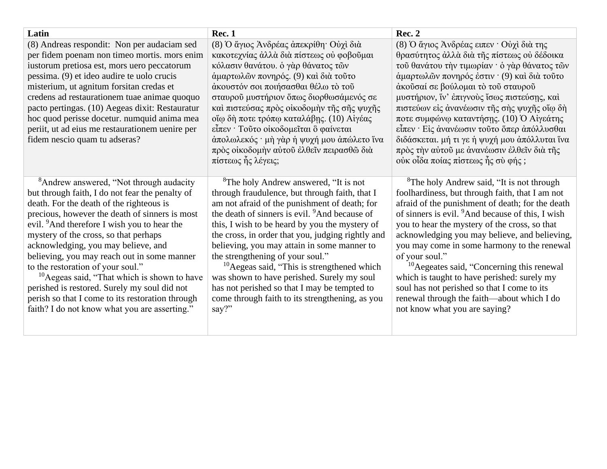| Latin                                                                                             | <b>Rec. 1</b>                                                                       | Rec. 2                                                                                       |
|---------------------------------------------------------------------------------------------------|-------------------------------------------------------------------------------------|----------------------------------------------------------------------------------------------|
| (8) Andreas respondit: Non per audaciam sed                                                       | (8) Ο άγιος Ανδρέας άπεκρίθη· Ούχι διά                                              | (8) Ο άγιος Ανδρέας ειπεν · Ούχι διά της                                                     |
| per fidem poenam non timeo mortis. mors enim                                                      | κακοτεχνίας άλλα δια πίστεως ού φοβούμαι                                            | θρασύτητος άλλα δια της πίστεως ού δέδοικα                                                   |
| iustorum pretiosa est, mors uero peccatorum                                                       | κόλασιν θανάτου. ο γάρ θάνατος τῶν                                                  | τοῦ θανάτου την τιμωρίαν · ὁ γὰρ θάνατος τῶν                                                 |
| pessima. (9) et ideo audire te uolo crucis                                                        | άμαρτωλών πονηρός. (9) και διά τούτο                                                | άμαρτωλῶν πονηρός ἐστιν · (9) καὶ διὰ τοῦτο                                                  |
| misterium, ut agnitum forsitan credas et                                                          | άκουστόν σοι ποιήσασθαι θέλω τό τού                                                 | άκοῦσαί σε βούλομαι τὸ τοῦ σταυροῦ                                                           |
| credens ad restaurationem tuae animae quoquo                                                      | σταυρού μυστήριον όπως διορθωσάμενός σε                                             | μυστήριον, ίν' έπιγνούς ίσως πιστεύσης, καί                                                  |
| pacto pertingas. (10) Aegeas dixit: Restauratur                                                   | καί πιστεύσας πρός οίκοδομήν της σης ψυχης                                          | πιστεύων είς άνανέωσιν της σης ψυχης οΐω δη                                                  |
| hoc quod perisse docetur. numquid anima mea                                                       | οΐφ δή ποτε τρόπφ καταλάβης. (10) Αίγέας                                            | ποτε συμφώνω καταντήσης. (10) Ο Αίγεάτης                                                     |
| periit, ut ad eius me restaurationem uenire per<br>fidem nescio quam tu adseras?                  | είπεν · Τούτο οίκοδομείται ὃ φαίνεται<br>άπολωλεκός · μή γάρ ή ψυχή μου άπώλετο ΐνα | είπεν · Είς άνανέωσιν τούτο όπερ απόλλυσθαι<br>διδάσκεται. μή τι γε ή ψυχή μου απόλλυται ίνα |
|                                                                                                   | πρός οίκοδομήν αύτου έλθεϊν πειρασθώ διά                                            | πρός την αύτου με άνανέωσιν έλθεϊν διά της                                                   |
|                                                                                                   | πίστεως ής λέγεις;                                                                  | ούκ οίδα ποίας πίστεως ής σύ φής;                                                            |
|                                                                                                   |                                                                                     |                                                                                              |
| <sup>8</sup> Andrew answered, "Not through audacity                                               | <sup>8</sup> The holy Andrew answered, "It is not                                   | <sup>8</sup> The holy Andrew said, "It is not through                                        |
| but through faith, I do not fear the penalty of                                                   | through fraudulence, but through faith, that I                                      | foolhardiness, but through faith, that I am not                                              |
| death. For the death of the righteous is                                                          | am not afraid of the punishment of death; for                                       | afraid of the punishment of death; for the death                                             |
| precious, however the death of sinners is most                                                    | the death of sinners is evil. <sup>9</sup> And because of                           | of sinners is evil. <sup>9</sup> And because of this, I wish                                 |
| evil. <sup>9</sup> And therefore I wish you to hear the                                           | this, I wish to be heard by you the mystery of                                      | you to hear the mystery of the cross, so that                                                |
| mystery of the cross, so that perhaps                                                             | the cross, in order that you, judging rightly and                                   | acknowledging you may believe, and believing,                                                |
| acknowledging, you may believe, and                                                               | believing, you may attain in some manner to                                         | you may come in some harmony to the renewal                                                  |
| believing, you may reach out in some manner                                                       | the strengthening of your soul."                                                    | of your soul."                                                                               |
| to the restoration of your soul."                                                                 | $10$ Aegeas said, "This is strengthened which                                       | <sup>10</sup> Aegeates said, "Concerning this renewal                                        |
| <sup>10</sup> Aegeas said, "That which is shown to have                                           | was shown to have perished. Surely my soul                                          | which is taught to have perished: surely my                                                  |
| perished is restored. Surely my soul did not                                                      | has not perished so that I may be tempted to                                        | soul has not perished so that I come to its                                                  |
| perish so that I come to its restoration through<br>faith? I do not know what you are asserting." | come through faith to its strengthening, as you<br>say?"                            | renewal through the faith—about which I do<br>not know what you are saying?                  |
|                                                                                                   |                                                                                     |                                                                                              |
|                                                                                                   |                                                                                     |                                                                                              |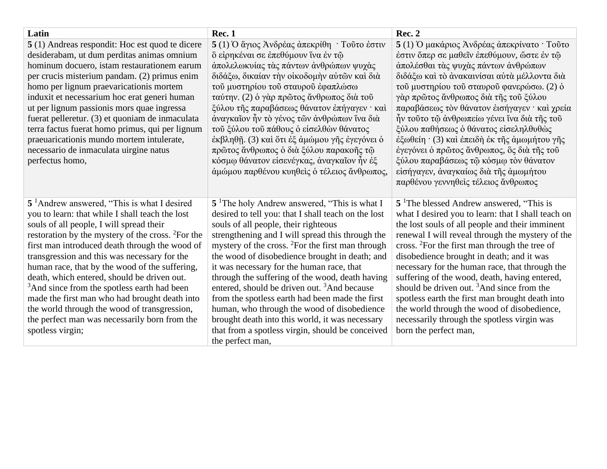| Latin                                                                                        | <b>Rec. 1</b>                                                                                       | Rec. 2                                                                                |
|----------------------------------------------------------------------------------------------|-----------------------------------------------------------------------------------------------------|---------------------------------------------------------------------------------------|
| 5 (1) Andreas respondit: Hoc est quod te dicere                                              | 5 (1) Ο άγιος Ανδρέας άπεκρίθη · Τούτο έστιν                                                        | 5 (1) Ο μακάριος Ανδρέας άπεκρίνατο · Τούτο                                           |
| desiderabam, ut dum perditas animas omnium                                                   | δ είρηκέναι σε έπεθύμουν ίνα έν τω                                                                  | έστιν όπερ σε μαθεΐν έπεθύμουν, ώστε έν τω                                            |
| hominum docuero, istam restaurationem earum                                                  | άπολελωκυίας τας πάντων ανθρώπων ψυχας                                                              | άπολέσθαι τὰς ψυχὰς πάντων ἀνθρώπων                                                   |
| per crucis misterium pandam. (2) primus enim                                                 | διδάξω, δικαίαν την οικοδομήν αυτών και διά                                                         | διδάξω και το ανακαινίσαι αύτα μέλλοντα δια                                           |
| homo per lignum praevaricationis mortem                                                      | τού μυστηρίου του σταυρού έφαπλώσω                                                                  | τού μυστηρίου τού σταυρού φανερώσω. (2) ό                                             |
| induxit et necessarium hoc erat generi human                                                 | ταύτην. (2) ο γάρ πρώτος άνθρωπος δια του                                                           | γάρ πρῶτος ἄνθρωπος διὰ τῆς τοῦ ξύλου                                                 |
| ut per lignum passionis mors quae ingressa                                                   | ξύλου της παραβάσεως θάνατον έπήγαγεν · καί                                                         | παραβάσεως τον θάνατον εισήγαγεν · και χρεία                                          |
| fuerat pelleretur. (3) et quoniam de inmaculata                                              | άναγκαΐον ἦν τὸ γένος τῶν ἀνθρώπων ἵνα διὰ                                                          | ην τούτο τῷ ἀνθρωπείω γένει ἴνα διὰ τῆς τοῦ                                           |
| terra factus fuerat homo primus, qui per lignum<br>praeuaricationis mundo mortem intulerate, | τοῦ ξύλου τοῦ πάθους ὁ εἰσελθών θάνατος<br>έκβληθῆ. (3) και ὅτι ἐξ ἀμώμου γῆς ἐγεγόνει ὁ            | ξύλου παθήσεως ο θάνατος είσεληλθυθώς<br>έξωθείη · (3) και έπειδη έκ της αμωμήτου γης |
| necessario de inmaculata uirgine natus                                                       | πρῶτος ἄνθρωπος ὁ διὰ ξύλου παρακοῆς τῷ                                                             | έγεγόνει ο πρώτος άνθρωπος, δς δια της του                                            |
| perfectus homo,                                                                              | κόσμω θάνατον είσενέγκας, άναγκαΐον ἦν ἐξ                                                           | ξύλου παραβάσεως τῷ κόσμφ τὸν θάνατον                                                 |
|                                                                                              | άμώμου παρθένου κυηθείς ο τέλειος άνθρωπος,                                                         | είσήγαγεν, άναγκαίως δια της άμωμήτου                                                 |
|                                                                                              |                                                                                                     | παρθένου γεννηθείς τέλειος άνθρωπος                                                   |
|                                                                                              |                                                                                                     |                                                                                       |
| 5 <sup>1</sup> Andrew answered, "This is what I desired                                      | 5 <sup>1</sup> The holy Andrew answered, "This is what I                                            | 5 <sup>1</sup> The blessed Andrew answered, "This is                                  |
| you to learn: that while I shall teach the lost                                              | desired to tell you: that I shall teach on the lost                                                 | what I desired you to learn: that I shall teach on                                    |
| souls of all people, I will spread their                                                     | souls of all people, their righteous                                                                | the lost souls of all people and their imminent                                       |
| restoration by the mystery of the cross. <sup>2</sup> For the                                | strengthening and I will spread this through the                                                    | renewal I will reveal through the mystery of the                                      |
| first man introduced death through the wood of                                               | mystery of the cross. <sup>2</sup> For the first man through                                        | cross. <sup>2</sup> For the first man through the tree of                             |
| transgression and this was necessary for the                                                 | the wood of disobedience brought in death; and                                                      | disobedience brought in death; and it was                                             |
| human race, that by the wood of the suffering,                                               | it was necessary for the human race, that                                                           | necessary for the human race, that through the                                        |
| death, which entered, should be driven out.                                                  | through the suffering of the wood, death having                                                     | suffering of the wood, death, having entered,                                         |
| <sup>3</sup> And since from the spotless earth had been                                      | entered, should be driven out. <sup>3</sup> And because                                             | should be driven out. <sup>3</sup> And since from the                                 |
| made the first man who had brought death into                                                | from the spotless earth had been made the first                                                     | spotless earth the first man brought death into                                       |
| the world through the wood of transgression,                                                 | human, who through the wood of disobedience                                                         | the world through the wood of disobedience,                                           |
| the perfect man was necessarily born from the<br>spotless virgin;                            | brought death into this world, it was necessary<br>that from a spotless virgin, should be conceived | necessarily through the spotless virgin was<br>born the perfect man,                  |
|                                                                                              | the perfect man,                                                                                    |                                                                                       |
|                                                                                              |                                                                                                     |                                                                                       |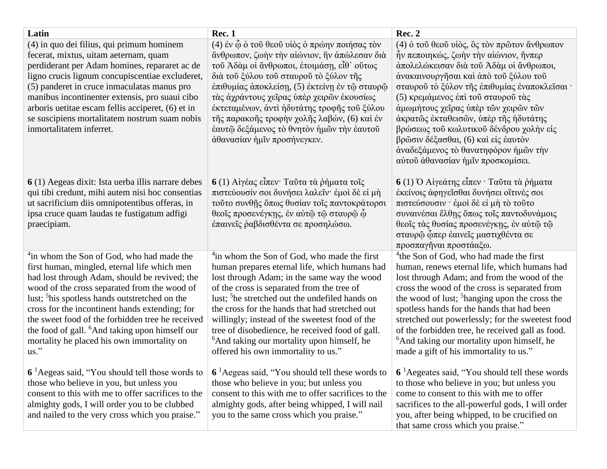| Latin                                                                                                                       | Rec. 1                                                                                           | <b>Rec. 2</b>                                                                                   |
|-----------------------------------------------------------------------------------------------------------------------------|--------------------------------------------------------------------------------------------------|-------------------------------------------------------------------------------------------------|
| (4) in quo dei filius, qui primum hominem<br>fecerat, mixtus, uitam aeternam, quam                                          | (4) έν φ ο του θεού υίος ο πρώην ποιήσας τον<br>άνθρωπον, ζωήν την αίώνιον, ην άπώλεσαν διά      | (4) ο του θεού υίος, δς τον πρώτον άνθρωπον<br>ήν πεποιηκώς, ζωήν την αίώνιον, ήνπερ            |
| perdiderant per Adam homines, repararet ac de                                                                               | τοῦ Ἀδὰμ οἱ ἄνθρωποι, ἑτοιμάση, εἶθ' οὕτως                                                       | άπολελώκεισαν διά του Αδάμ οι άνθρωποι,                                                         |
| ligno crucis lignum concupiscentiae excluderet,                                                                             | διά τοῦ ξύλου τοῦ σταυροῦ τὸ ξύλον τῆς                                                           | άνακαινουργήσαι και άπό του ξύλου του                                                           |
| (5) panderet in cruce inmaculatas manus pro<br>manibus incontinenter extensis, pro suaui cibo                               | έπιθυμίας άποκλείση, (5) έκτείνη έν τῷ σταυρῷ<br>τάς άχράντους χείρας ύπερ χειρών έκουσίως       | σταυρού το ξύλον της έπιθυμίας έναποκλείσαι ·<br>(5) κρεμάμενος έπι του σταυρού τας             |
| arboris uetitae escam fellis acciperet, (6) et in                                                                           | έκτεταμένων, άντι ηδυτάτης τροφής του ξύλου                                                      | άμωμήτους χείρας ύπερ των χειρών τών                                                            |
| se suscipiens mortalitatem nostrum suam nobis                                                                               | τῆς παρακοῆς τροφὴν χολῆς λαβών, (6) καὶ ἐν                                                      | άκρατῶς έκταθεισῶν, υπέρ τῆς ηδυτάτης                                                           |
| inmortalitatem inferret.                                                                                                    | έαυτῷ δεξάμενος τὸ θνητὸν ήμῶν τὴν έαυτοῦ                                                        | βρώσεως τοῦ κωλυτικοῦ δένδρου χολὴν εἰς                                                         |
|                                                                                                                             | άθανασίαν ήμίν προσήνεγκεν.                                                                      | βρῶσιν δέξασθαι, (6) και είς έαυτον                                                             |
|                                                                                                                             |                                                                                                  | άναδεξάμενος το θανατηφόρον ήμων την                                                            |
|                                                                                                                             |                                                                                                  | αύτου άθανασίαν ήμιν προσκομίσει.                                                               |
| 6 (1) Aegeas dixit: Ista uerba illis narrare debes                                                                          | 6 (1) Αίγέας είπεν· Ταῦτα τὰ ρήματα τοῖς                                                         | 6 (1) Ο Αίγεάτης είπεν · Ταύτα τα ρήματα                                                        |
| qui tibi credunt, mihi autem nisi hoc consentias                                                                            | πιστεύουσίν σοι δυνήσει λαλεΐν· έμοι δε εί μή                                                    | έκείνοις άφηγεΐσθαι δυνήσει οΐτινές σοι                                                         |
| ut sacrificium diis omnipotentibus offeras, in                                                                              | τούτο συνθης όπως θυσίαν τοις παντοκράτορσι                                                      | πιστεύσουσιν · έμοι δε εί μή το τούτο                                                           |
| ipsa cruce quam laudas te fustigatum adfigi                                                                                 | θεοΐς προσενέγκης, έν αύτῷ τῷ σταυρῷ ϕ                                                           | συναινέσαι έλθης όπως τοις παντοδυνάμοις                                                        |
| praecipiam.                                                                                                                 | έπαινείς ραβδισθέντα σε προσηλώσω.                                                               | θεοΐς τὰς θυσίας προσενέγκης, έν αύτῷ τῷ                                                        |
|                                                                                                                             |                                                                                                  | σταυρῷ φπερ έαινεῖς μαστιχθέντα σε<br>προσπαγῆναι προστάαξω.                                    |
| <sup>4</sup> in whom the Son of God, who had made the                                                                       | <sup>4</sup> in whom the Son of God, who made the first                                          | <sup>4</sup> the Son of God, who had made the first                                             |
| first human, mingled, eternal life which men                                                                                | human prepares eternal life, which humans had                                                    | human, renews eternal life, which humans had                                                    |
| had lost through Adam, should be revived; the                                                                               | lost through Adam; in the same way the wood                                                      | lost through Adam; and from the wood of the                                                     |
| wood of the cross separated from the wood of                                                                                | of the cross is separated from the tree of                                                       | cross the wood of the cross is separated from                                                   |
| lust; <sup>5</sup> his spotless hands outstretched on the                                                                   | lust; <sup>5</sup> he stretched out the undefiled hands on                                       | the wood of lust; <sup>5</sup> hanging upon the cross the                                       |
| cross for the incontinent hands extending; for<br>the sweet food of the forbidden tree he received                          | the cross for the hands that had stretched out<br>willingly; instead of the sweetest food of the | spotless hands for the hands that had been<br>stretched out powerlessly; for the sweetest food  |
| the food of gall. <sup>6</sup> And taking upon himself our                                                                  | tree of disobedience, he received food of gall.                                                  | of the forbidden tree, he received gall as food.                                                |
| mortality he placed his own immortality on                                                                                  | <sup>6</sup> And taking our mortality upon himself, he                                           | <sup>6</sup> And taking our mortality upon himself, he                                          |
| $\mathrm{us}$ ."                                                                                                            | offered his own immortality to us."                                                              | made a gift of his immortality to us."                                                          |
| 6 <sup>1</sup> Aegeas said, "You should tell those words to $\left  6 \right $ Aegeas said, "You should tell these words to |                                                                                                  |                                                                                                 |
| those who believe in you, but unless you                                                                                    | those who believe in you; but unless you                                                         | $61$ Aegeates said, "You should tell these words<br>to those who believe in you; but unless you |
| consent to this with me to offer sacrifices to the                                                                          | consent to this with me to offer sacrifices to the                                               | come to consent to this with me to offer                                                        |
| almighty gods, I will order you to be clubbed                                                                               | almighty gods, after being whipped, I will nail                                                  | sacrifices to the all-powerful gods, I will order                                               |
| and nailed to the very cross which you praise."                                                                             | you to the same cross which you praise."                                                         | you, after being whipped, to be crucified on                                                    |
|                                                                                                                             |                                                                                                  | that same cross which you praise."                                                              |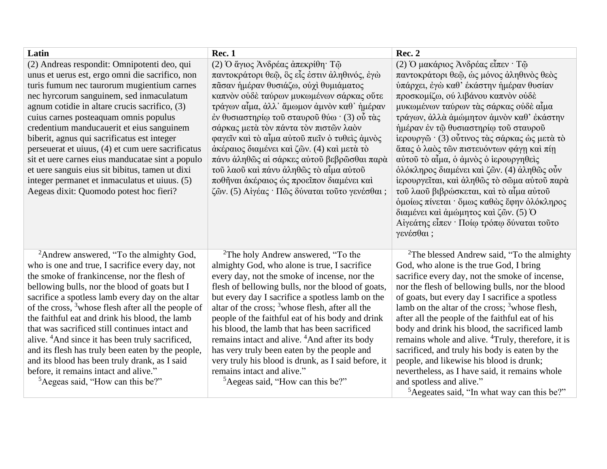| Latin                                                                                                                                                                                                                                                                                                                                                                                                                                                                                                                                                                                                                                                                                          | <b>Rec. 1</b>                                                                                                                                                                                                                                                                                                                                                                                                                                                                                                                                                                                                                                                               | Rec. 2                                                                                                                                                                                                                                                                                                                                                                                                                                                                                                                                                                                                                                                                                                                   |
|------------------------------------------------------------------------------------------------------------------------------------------------------------------------------------------------------------------------------------------------------------------------------------------------------------------------------------------------------------------------------------------------------------------------------------------------------------------------------------------------------------------------------------------------------------------------------------------------------------------------------------------------------------------------------------------------|-----------------------------------------------------------------------------------------------------------------------------------------------------------------------------------------------------------------------------------------------------------------------------------------------------------------------------------------------------------------------------------------------------------------------------------------------------------------------------------------------------------------------------------------------------------------------------------------------------------------------------------------------------------------------------|--------------------------------------------------------------------------------------------------------------------------------------------------------------------------------------------------------------------------------------------------------------------------------------------------------------------------------------------------------------------------------------------------------------------------------------------------------------------------------------------------------------------------------------------------------------------------------------------------------------------------------------------------------------------------------------------------------------------------|
| (2) Andreas respondit: Omnipotenti deo, qui<br>unus et uerus est, ergo omni die sacrifico, non<br>turis fumum nec taurorum mugientium carnes<br>nec hyrcorum sanguinem, sed inmaculatum<br>agnum cotidie in altare crucis sacrifico, (3)<br>cuius carnes posteaquam omnis populus<br>credentium manducauerit et eius sanguinem<br>biberit, agnus qui sacrificatus est integer<br>perseuerat et uiuus, (4) et cum uere sacrificatus<br>sit et uere carnes eius manducatae sint a populo<br>et uere sanguis eius sit bibitus, tamen ut dixi<br>integer permanet et inmaculatus et uiuus. (5)<br>Aegeas dixit: Quomodo potest hoc fieri?                                                          | (2) Ο άγιος Ανδρέας άπεκρίθη· Τώ<br>παντοκράτορι θεῷ, ὃς εἶς ἐστιν ἀληθινός, ἐγὼ<br>πάσαν ημέραν θυσιάζω, ούχι θυμιάματος<br>καπνὸν οὐδὲ ταύρων μυκωμένων σάρκας οὔτε<br>τράγων αίμα, άλλ' άμωμον άμνον καθ' ήμέραν<br>έν θυσιαστηρίω τοῦ σταυροῦ θύω · (3) οὗ τὰς<br>σάρκας μετά τον πάντα τον πιστών λαόν<br>φαγεῖν καὶ τὸ αἶμα αὐτοῦ πιεῖν ὁ τυθεὶς ἀμνὸς<br>άκέραιος διαμένει και ζών. (4) και μετά το<br>πάνυ άληθῶς αί σάρκες αύτοῦ βεβρῶσθαι παρὰ<br>τοῦ λαοῦ καὶ πάνυ ἀληθῶς τὸ αἶμα αὐτοῦ<br>ποθῆναι ἀκέραιος ως προεῖπον διαμένει καὶ<br>ζῶν. (5) Αίγέας · Πῶς δύναται τοῦτο γενέσθαι;                                                                            | (2) Ο μακάριος Άνδρέας είπεν · Τῷ<br>παντοκράτορι θεῷ, ὡς μόνος ἀληθινὸς θεὸς<br>υπάρχει, έγω καθ' έκάστην ημέραν θυσίαν<br>προσκομίζω, ού λιβάνου καπνόν ούδε<br>μυκωμένων ταύρων τὰς σάρκας οὐδὲ αἶμα<br>τράγων, άλλα αμώμητον αμνόν καθ' εκάστην<br>ήμέραν έν τῷ θυσιαστηρίω τοῦ σταυροῦ<br>ίερουργῶ · (3) οὗτινος τὰς σάρκας ὡς μετὰ τὸ<br>άπας ο λαός των πιστευόντων φάγη και πίη<br>αύτοῦ τὸ αἶμα, ὁ ἀμνὸς ὁ ἱερουργηθεὶς<br>δλόκληρος διαμένει και ζῶν. (4) άληθῶς οὖν<br>ίερουργεῖται, καὶ ἀληθῶς τὸ σῶμα αὐτοῦ παρὰ<br>τοῦ λαοῦ βιβρώσκεται, καὶ τὸ αἶμα αὐτοῦ<br>όμοίως πίνεται · ὅμως καθὼς ἔφην ὁλόκληρος<br>διαμένει και άμώμητος και ζών. (5) Ο<br>Αίγεάτης είπεν · Ποίω τρόπω δύναται τοῦτο<br>γενέσθαι; |
| <sup>2</sup> Andrew answered, "To the almighty God,<br>who is one and true, I sacrifice every day, not<br>the smoke of frankincense, nor the flesh of<br>bellowing bulls, nor the blood of goats but I<br>sacrifice a spotless lamb every day on the altar<br>of the cross, <sup>3</sup> whose flesh after all the people of<br>the faithful eat and drink his blood, the lamb<br>that was sacrificed still continues intact and<br>alive. <sup>4</sup> And since it has been truly sacrificed,<br>and its flesh has truly been eaten by the people,<br>and its blood has been truly drank, as I said<br>before, it remains intact and alive."<br><sup>5</sup> Aegeas said, "How can this be?" | <sup>2</sup> The holy Andrew answered, "To the<br>almighty God, who alone is true, I sacrifice<br>every day, not the smoke of incense, nor the<br>flesh of bellowing bulls, nor the blood of goats,<br>but every day I sacrifice a spotless lamb on the<br>altar of the cross; <sup>3</sup> whose flesh, after all the<br>people of the faithful eat of his body and drink<br>his blood, the lamb that has been sacrificed<br>remains intact and alive. <sup>4</sup> And after its body<br>has very truly been eaten by the people and<br>very truly his blood is drunk, as I said before, it<br>remains intact and alive."<br><sup>5</sup> Aegeas said, "How can this be?" | <sup>2</sup> The blessed Andrew said, "To the almighty<br>God, who alone is the true God, I bring<br>sacrifice every day, not the smoke of incense,<br>nor the flesh of bellowing bulls, nor the blood<br>of goats, but every day I sacrifice a spotless<br>lamb on the altar of the cross; $3$ whose flesh,<br>after all the people of the faithful eat of his<br>body and drink his blood, the sacrificed lamb<br>remains whole and alive. <sup>4</sup> Truly, therefore, it is<br>sacrificed, and truly his body is eaten by the<br>people, and likewise his blood is drunk;<br>nevertheless, as I have said, it remains whole<br>and spotless and alive."<br><sup>5</sup> Aegeates said, "In what way can this be?"  |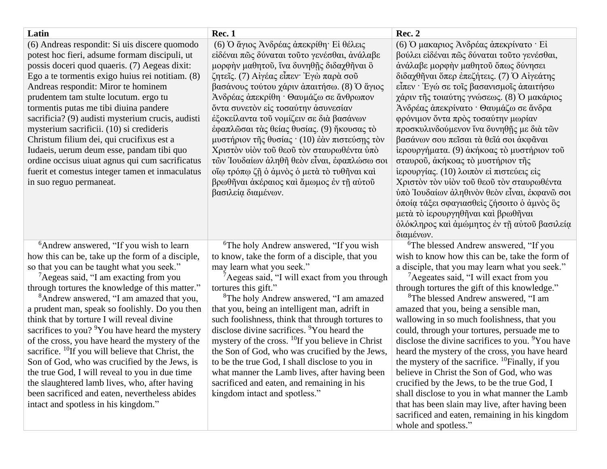| Latin                                                                                                                                                                                                                                                                                                                                                                                                                                                                                                                                                                                                                                                                                                                                                                                                        | <b>Rec. 1</b>                                                                                                                                                                                                                                                                                                                                                                                                                                                                                                                                                                                                                                                                                                                                    | <b>Rec. 2</b>                                                                                                                                                                                                                                                                                                                                                                                                                                                                                                                                                                                                                                                                                                                                                                    |
|--------------------------------------------------------------------------------------------------------------------------------------------------------------------------------------------------------------------------------------------------------------------------------------------------------------------------------------------------------------------------------------------------------------------------------------------------------------------------------------------------------------------------------------------------------------------------------------------------------------------------------------------------------------------------------------------------------------------------------------------------------------------------------------------------------------|--------------------------------------------------------------------------------------------------------------------------------------------------------------------------------------------------------------------------------------------------------------------------------------------------------------------------------------------------------------------------------------------------------------------------------------------------------------------------------------------------------------------------------------------------------------------------------------------------------------------------------------------------------------------------------------------------------------------------------------------------|----------------------------------------------------------------------------------------------------------------------------------------------------------------------------------------------------------------------------------------------------------------------------------------------------------------------------------------------------------------------------------------------------------------------------------------------------------------------------------------------------------------------------------------------------------------------------------------------------------------------------------------------------------------------------------------------------------------------------------------------------------------------------------|
| (6) Andreas respondit: Si uis discere quomodo<br>potest hoc fieri, adsume formam discipuli, ut<br>possis doceri quod quaeris. (7) Aegeas dixit:<br>Ego a te tormentis exigo huius rei notitiam. (8)<br>Andreas respondit: Miror te hominem<br>prudentem tam stulte locutum. ergo tu<br>tormentis putas me tibi diuina pandere<br>sacrificia? (9) audisti mysterium crucis, audisti<br>mysterium sacrificii. (10) si credideris<br>Christum filium dei, qui crucifixus est a<br>Iudaeis, uerum deum esse, pandam tibi quo                                                                                                                                                                                                                                                                                     | (6) Ο άγιος Ανδρέας άπεκρίθη· Εί θέλεις<br>είδέναι πώς δύναται τούτο γενέσθαι, άνάλαβε<br>μορφήν μαθητοῦ, ἵνα δυνηθῆς διδαχθῆναι ὃ<br>ζητεῖς. (7) Αἰγέας εἶπεν· Ἐγὼ παρὰ σοῦ<br>βασάνους τούτου χάριν απαιτήσω. (8) Ο άγιος<br>Άνδρέας άπεκρίθη · Θαυμάζω σε ἄνθρωπον<br>ὄντα συνετὸν εἰς τοσαύτην ἀσυνεσίαν<br>έξοκείλαντα τοῦ νομίζειν σε διὰ βασάνων<br>έφαπλῶσαι τὰς θείας θυσίας. (9) ἤκουσας τὸ<br>μυστήριον της θυσίας · (10) έαν πιστεύσης τον<br>Χριστὸν υἱὸν τοῦ θεοῦ τὸν σταυρωθέντα ὑπὸ                                                                                                                                                                                                                                              | (6) Ο μακαριος Άνδρέας άπεκρίνατο · Εί<br>βούλει εἰδέναι πῶς δύναται τοῦτο γενέσθαι,<br>άνάλαβε μορφήν μαθητοῦ ὅπως δύνησει<br>διδαχθηναι όπερ έπεζήτεις. (7) Ο Αίγεάτης<br>είπεν · Έγώ σε τοις βασανισμοις άπαιτήσω<br>χάριν της τοιαύτης γνώσεως. (8) Ο μακάριος<br>Ανδρέας απεκρίνατο · Θαυμάζω σε άνδρα<br>φρόνιμον όντα πρός τοσαύτην μωρίαν<br>προσκυλινδούμενον ίνα δυνηθης με διά τών<br>βασάνων σου πεῖσαι τὰ θεῖά σοι ἀκφᾶναι<br>ίερουργήματα. (9) ἀκήκοας τὸ μυστήριον τοῦ                                                                                                                                                                                                                                                                                            |
| ordine occisus uiuat agnus qui cum sacrificatus<br>fuerit et comestus integer tamen et inmaculatus<br>in suo reguo permaneat.                                                                                                                                                                                                                                                                                                                                                                                                                                                                                                                                                                                                                                                                                | τῶν Ἰουδαίων ἀληθῆ θεὸν εἶναι, ἐφαπλώσω σοι<br>οΐφ τρόπφ ζῆ ὁ ἀμνὸς ὁ μετὰ τὸ τυθῆναι καὶ<br>βρωθῆναι ἀκέραιος καὶ ἄμωμος ἐν τῆ αὐτοῦ<br>βασιλεία διαμένων.                                                                                                                                                                                                                                                                                                                                                                                                                                                                                                                                                                                      | σταυρού, άκήκοας το μυστήριον της<br>ίερουργίας. (10) λοιπόν εί πιστεύεις είς<br>Χριστὸν τὸν υἱὸν τοῦ θεοῦ τὸν σταυρωθέντα<br>ύπὸ Τουδαίων ἀληθινὸν θεὸν εἶναι, ἐκφανῶ σοι<br>οποία τάξει σφαγιασθείς ζήσοιτο ο άμνος δς<br>μετά τὸ ἱερουργηθῆναι καὶ βρωθῆναι<br>ὸλόκληρος καὶ ἀμώμητος ἐν τῇ αὐτοῦ βασιλεία<br>διαμένων.                                                                                                                                                                                                                                                                                                                                                                                                                                                       |
| <sup>6</sup> Andrew answered, "If you wish to learn<br>how this can be, take up the form of a disciple,<br>so that you can be taught what you seek."<br><sup>7</sup> Aegeas said, "I am exacting from you<br>through tortures the knowledge of this matter."<br><sup>8</sup> Andrew answered, "I am amazed that you,<br>a prudent man, speak so foolishly. Do you then<br>think that by torture I will reveal divine<br>sacrifices to you? <sup>9</sup> You have heard the mystery<br>of the cross, you have heard the mystery of the<br>sacrifice. <sup>10</sup> If you will believe that Christ, the<br>Son of God, who was crucified by the Jews, is<br>the true God, I will reveal to you in due time<br>the slaughtered lamb lives, who, after having<br>been sacrificed and eaten, nevertheless abides | <sup>6</sup> The holy Andrew answered, "If you wish<br>to know, take the form of a disciple, that you<br>may learn what you seek."<br>$\mathrm{7}$ Aegeas said, "I will exact from you through<br>tortures this gift."<br><sup>8</sup> The holy Andrew answered, "I am amazed<br>that you, being an intelligent man, adrift in<br>such foolishness, think that through tortures to<br>disclose divine sacrifices. <sup>9</sup> You heard the<br>mystery of the cross. <sup>10</sup> If you believe in Christ<br>the Son of God, who was crucified by the Jews,<br>to be the true God, I shall disclose to you in<br>what manner the Lamb lives, after having been<br>sacrificed and eaten, and remaining in his<br>kingdom intact and spotless." | <sup>6</sup> The blessed Andrew answered, "If you<br>wish to know how this can be, take the form of<br>a disciple, that you may learn what you seek."<br><sup>7</sup> Aegeates said, "I will exact from you<br>through tortures the gift of this knowledge."<br><sup>8</sup> The blessed Andrew answered, "I am<br>amazed that you, being a sensible man,<br>wallowing in so much foolishness, that you<br>could, through your tortures, persuade me to<br>disclose the divine sacrifices to you. <sup>9</sup> You have<br>heard the mystery of the cross, you have heard<br>the mystery of the sacrifice. $^{10}$ Finally, if you<br>believe in Christ the Son of God, who was<br>crucified by the Jews, to be the true God, I<br>shall disclose to you in what manner the Lamb |
| intact and spotless in his kingdom."                                                                                                                                                                                                                                                                                                                                                                                                                                                                                                                                                                                                                                                                                                                                                                         |                                                                                                                                                                                                                                                                                                                                                                                                                                                                                                                                                                                                                                                                                                                                                  | that has been slain may live, after having been<br>sacrificed and eaten, remaining in his kingdom<br>whole and spotless."                                                                                                                                                                                                                                                                                                                                                                                                                                                                                                                                                                                                                                                        |